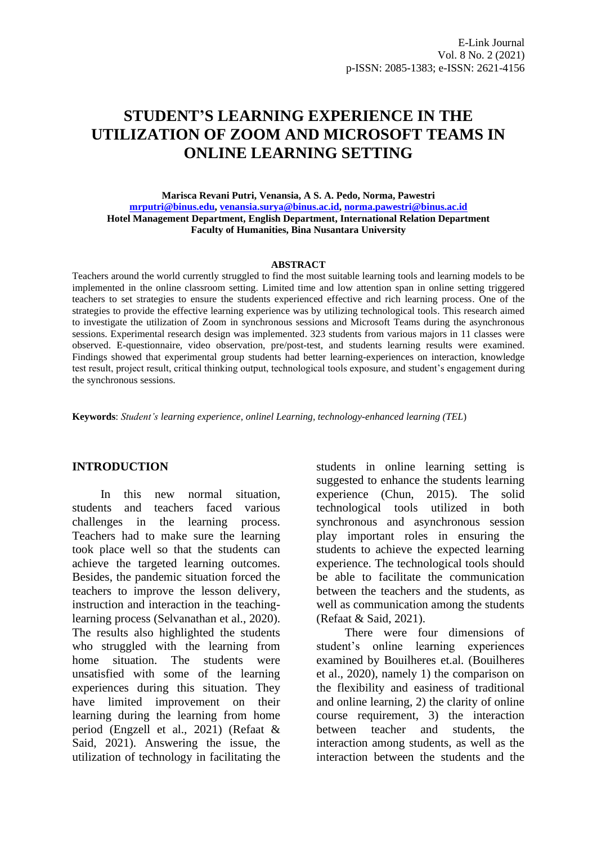# **STUDENT'S LEARNING EXPERIENCE IN THE UTILIZATION OF ZOOM AND MICROSOFT TEAMS IN ONLINE LEARNING SETTING**

#### **Marisca Revani Putri, Venansia, A S. A. Pedo, Norma, Pawestri [mrputri@binus.edu,](mailto:mrputri@binus.edu) [venansia.surya@binus.ac.id,](mailto:venansia.surya@binus.ac.id) [norma.pawestri@binus.ac.id](mailto:norma.pawestri@binus.ac.id) Hotel Management Department, English Department, International Relation Department Faculty of Humanities, Bina Nusantara University**

#### **ABSTRACT**

Teachers around the world currently struggled to find the most suitable learning tools and learning models to be implemented in the online classroom setting. Limited time and low attention span in online setting triggered teachers to set strategies to ensure the students experienced effective and rich learning process. One of the strategies to provide the effective learning experience was by utilizing technological tools. This research aimed to investigate the utilization of Zoom in synchronous sessions and Microsoft Teams during the asynchronous sessions. Experimental research design was implemented. 323 students from various majors in 11 classes were observed. E-questionnaire, video observation, pre/post-test, and students learning results were examined. Findings showed that experimental group students had better learning-experiences on interaction, knowledge test result, project result, critical thinking output, technological tools exposure, and student's engagement during the synchronous sessions.

**Keywords**: *Student's learning experience, onlinel Learning, technology-enhanced learning (TEL*)

#### **INTRODUCTION**

In this new normal situation, students and teachers faced various challenges in the learning process. Teachers had to make sure the learning took place well so that the students can achieve the targeted learning outcomes. Besides, the pandemic situation forced the teachers to improve the lesson delivery, instruction and interaction in the teachinglearning process (Selvanathan et al., 2020). The results also highlighted the students who struggled with the learning from home situation. The students were unsatisfied with some of the learning experiences during this situation. They have limited improvement on their learning during the learning from home period (Engzell et al., 2021) (Refaat & Said, 2021). Answering the issue, the utilization of technology in facilitating the

students in online learning setting is suggested to enhance the students learning experience (Chun, 2015). The solid technological tools utilized in both synchronous and asynchronous session play important roles in ensuring the students to achieve the expected learning experience. The technological tools should be able to facilitate the communication between the teachers and the students, as well as communication among the students (Refaat & Said, 2021).

There were four dimensions of student's online learning experiences examined by Bouilheres et.al. (Bouilheres et al., 2020), namely 1) the comparison on the flexibility and easiness of traditional and online learning, 2) the clarity of online course requirement, 3) the interaction between teacher and students, the interaction among students, as well as the interaction between the students and the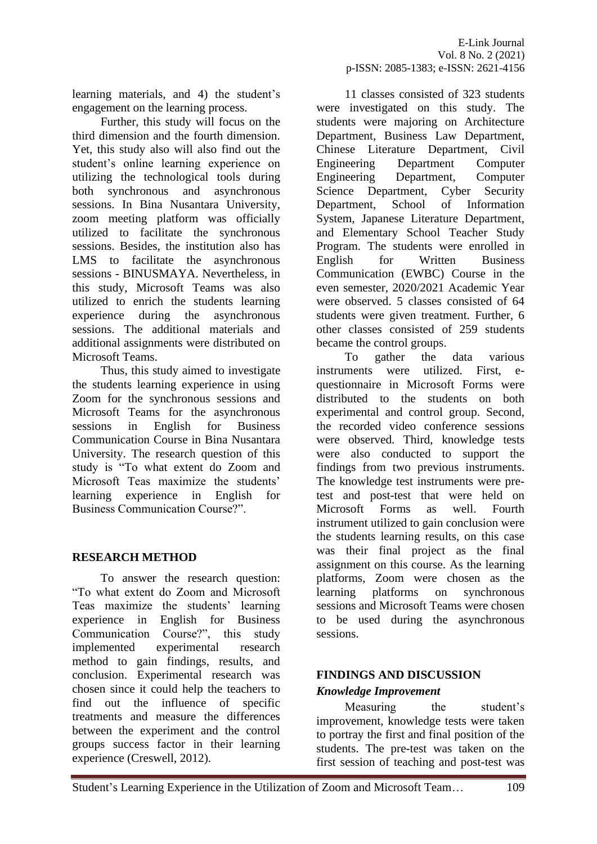learning materials, and 4) the student's engagement on the learning process.

Further, this study will focus on the third dimension and the fourth dimension. Yet, this study also will also find out the student's online learning experience on utilizing the technological tools during both synchronous and asynchronous sessions. In Bina Nusantara University, zoom meeting platform was officially utilized to facilitate the synchronous sessions. Besides, the institution also has LMS to facilitate the asynchronous sessions - BINUSMAYA. Nevertheless, in this study, Microsoft Teams was also utilized to enrich the students learning experience during the asynchronous sessions. The additional materials and additional assignments were distributed on Microsoft Teams.

Thus, this study aimed to investigate the students learning experience in using Zoom for the synchronous sessions and Microsoft Teams for the asynchronous sessions in English for Business Communication Course in Bina Nusantara University. The research question of this study is "To what extent do Zoom and Microsoft Teas maximize the students' learning experience in English for Business Communication Course?".

## **RESEARCH METHOD**

To answer the research question: "To what extent do Zoom and Microsoft Teas maximize the students' learning experience in English for Business Communication Course?", this study implemented experimental research method to gain findings, results, and conclusion. Experimental research was chosen since it could help the teachers to find out the influence of specific treatments and measure the differences between the experiment and the control groups success factor in their learning experience (Creswell, 2012).

11 classes consisted of 323 students were investigated on this study. The students were majoring on Architecture Department, Business Law Department, Chinese Literature Department, Civil Engineering Department Computer Engineering Department, Computer Science Department, Cyber Security Department, School of Information System, Japanese Literature Department, and Elementary School Teacher Study Program. The students were enrolled in English for Written Business Communication (EWBC) Course in the even semester, 2020/2021 Academic Year were observed. 5 classes consisted of 64 students were given treatment. Further, 6 other classes consisted of 259 students became the control groups.

To gather the data various instruments were utilized. First, equestionnaire in Microsoft Forms were distributed to the students on both experimental and control group. Second, the recorded video conference sessions were observed. Third, knowledge tests were also conducted to support the findings from two previous instruments. The knowledge test instruments were pretest and post-test that were held on Microsoft Forms as well. Fourth instrument utilized to gain conclusion were the students learning results, on this case was their final project as the final assignment on this course. As the learning platforms, Zoom were chosen as the learning platforms on synchronous sessions and Microsoft Teams were chosen to be used during the asynchronous sessions.

# **FINDINGS AND DISCUSSION**  *Knowledge Improvement*

Measuring the student's improvement, knowledge tests were taken to portray the first and final position of the students. The pre-test was taken on the first session of teaching and post-test was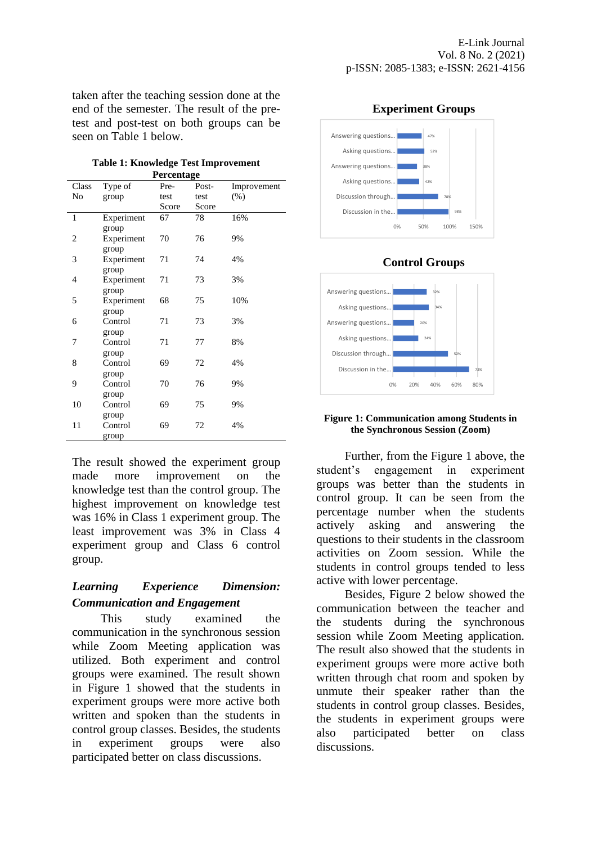taken after the teaching session done at the end of the semester. The result of the pretest and post-test on both groups can be seen on Table 1 below.

|                   |  |  | Table 1: Knowledge Test Improvement |  |  |
|-------------------|--|--|-------------------------------------|--|--|
| <b>Percentage</b> |  |  |                                     |  |  |

| Class          | Type of                      | Pre-  | Post- | Improvement |
|----------------|------------------------------|-------|-------|-------------|
| No             | group                        | test  | test  | (% )        |
|                |                              | Score | Score |             |
| $\mathbf{1}$   | Experiment                   | 67    | 78    | 16%         |
| $\overline{c}$ | group<br>Experiment<br>group | 70    | 76    | 9%          |
| 3              | Experiment                   | 71    | 74    | 4%          |
| 4              | group<br>Experiment          | 71    | 73    | 3%          |
| 5              | group<br>Experiment          | 68    | 75    | 10%         |
| 6              | group<br>Control             | 71    | 73    | 3%          |
| 7              | group<br>Control             | 71    | 77    | 8%          |
| 8              | group<br>Control             | 69    | 72    | 4%          |
| 9              | group<br>Control             | 70    | 76    | 9%          |
| 10             | group<br>Control             | 69    | 75    | 9%          |
| 11             | group<br>Control<br>group    | 69    | 72    | 4%          |

The result showed the experiment group made more improvement on the knowledge test than the control group. The highest improvement on knowledge test was 16% in Class 1 experiment group. The least improvement was 3% in Class 4 experiment group and Class 6 control group.

### *Learning Experience Dimension: Communication and Engagement*

This study examined the communication in the synchronous session while Zoom Meeting application was utilized. Both experiment and control groups were examined. The result shown in Figure 1 showed that the students in experiment groups were more active both written and spoken than the students in control group classes. Besides, the students in experiment groups were also participated better on class discussions.



# **Control Groups**



#### **Figure 1: Communication among Students in the Synchronous Session (Zoom)**

Further, from the Figure 1 above, the student's engagement in experiment groups was better than the students in control group. It can be seen from the percentage number when the students actively asking and answering the questions to their students in the classroom activities on Zoom session. While the students in control groups tended to less active with lower percentage.

Besides, Figure 2 below showed the communication between the teacher and the students during the synchronous session while Zoom Meeting application. The result also showed that the students in experiment groups were more active both written through chat room and spoken by unmute their speaker rather than the students in control group classes. Besides, the students in experiment groups were also participated better on class discussions.

#### **Experiment Groups**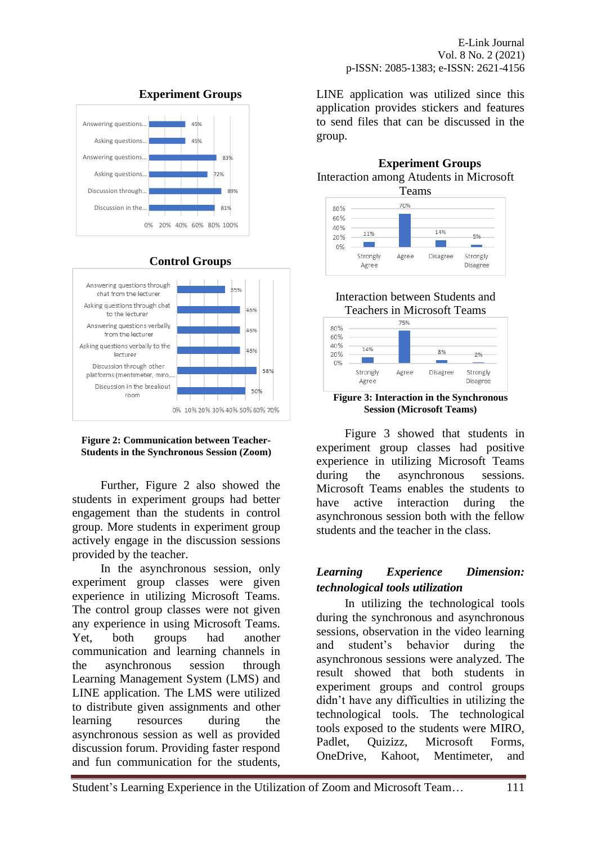





# **Control Groups**

#### **Figure 2: Communication between Teacher-Students in the Synchronous Session (Zoom)**

Further, Figure 2 also showed the students in experiment groups had better engagement than the students in control group. More students in experiment group actively engage in the discussion sessions provided by the teacher.

In the asynchronous session, only experiment group classes were given experience in utilizing Microsoft Teams. The control group classes were not given any experience in using Microsoft Teams. Yet, both groups had another communication and learning channels in the asynchronous session through Learning Management System (LMS) and LINE application. The LMS were utilized to distribute given assignments and other learning resources during the asynchronous session as well as provided discussion forum. Providing faster respond and fun communication for the students,

LINE application was utilized since this application provides stickers and features to send files that can be discussed in the group.



Interaction between Students and Teachers in Microsoft Teams

Agree



**Session (Microsoft Teams)**

Figure 3 showed that students in experiment group classes had positive experience in utilizing Microsoft Teams during the asynchronous sessions. Microsoft Teams enables the students to have active interaction during the asynchronous session both with the fellow students and the teacher in the class.

## *Learning Experience Dimension: technological tools utilization*

In utilizing the technological tools during the synchronous and asynchronous sessions, observation in the video learning and student's behavior during the asynchronous sessions were analyzed. The result showed that both students in experiment groups and control groups didn't have any difficulties in utilizing the technological tools. The technological tools exposed to the students were MIRO, Padlet, Quizizz, Microsoft Forms, OneDrive, Kahoot, Mentimeter, and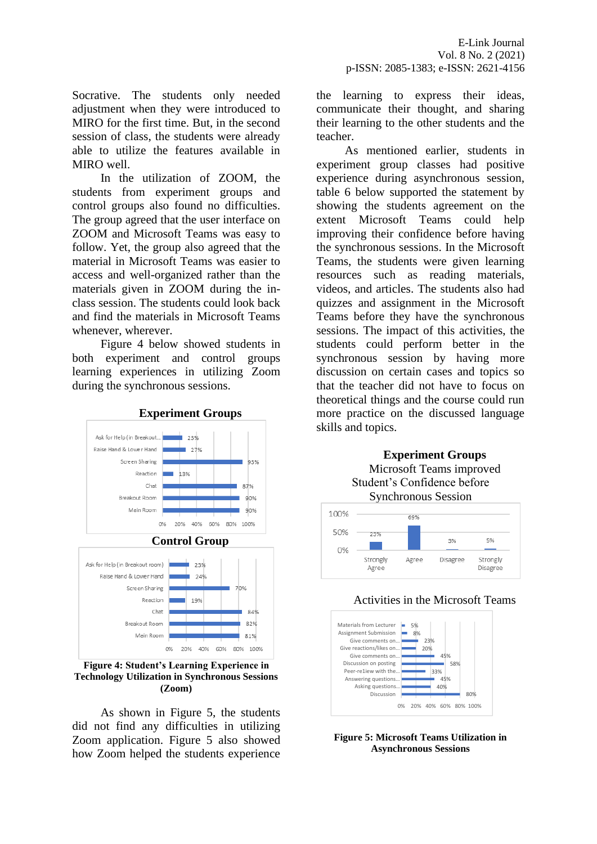Socrative. The students only needed adjustment when they were introduced to MIRO for the first time. But, in the second session of class, the students were already able to utilize the features available in MIRO well.

In the utilization of ZOOM, the students from experiment groups and control groups also found no difficulties. The group agreed that the user interface on ZOOM and Microsoft Teams was easy to follow. Yet, the group also agreed that the material in Microsoft Teams was easier to access and well-organized rather than the materials given in ZOOM during the inclass session. The students could look back and find the materials in Microsoft Teams whenever, wherever.

Figure 4 below showed students in both experiment and control groups learning experiences in utilizing Zoom during the synchronous sessions.



**Figure 4: Student's Learning Experience in Technology Utilization in Synchronous Sessions (Zoom)**

As shown in Figure 5, the students did not find any difficulties in utilizing Zoom application. Figure 5 also showed how Zoom helped the students experience

the learning to express their ideas, communicate their thought, and sharing their learning to the other students and the teacher.

As mentioned earlier, students in experiment group classes had positive experience during asynchronous session, table 6 below supported the statement by showing the students agreement on the extent Microsoft Teams could help improving their confidence before having the synchronous sessions. In the Microsoft Teams, the students were given learning resources such as reading materials, videos, and articles. The students also had quizzes and assignment in the Microsoft Teams before they have the synchronous sessions. The impact of this activities, the students could perform better in the synchronous session by having more discussion on certain cases and topics so that the teacher did not have to focus on theoretical things and the course could run more practice on the discussed language skills and topics.







**Figure 5: Microsoft Teams Utilization in Asynchronous Sessions**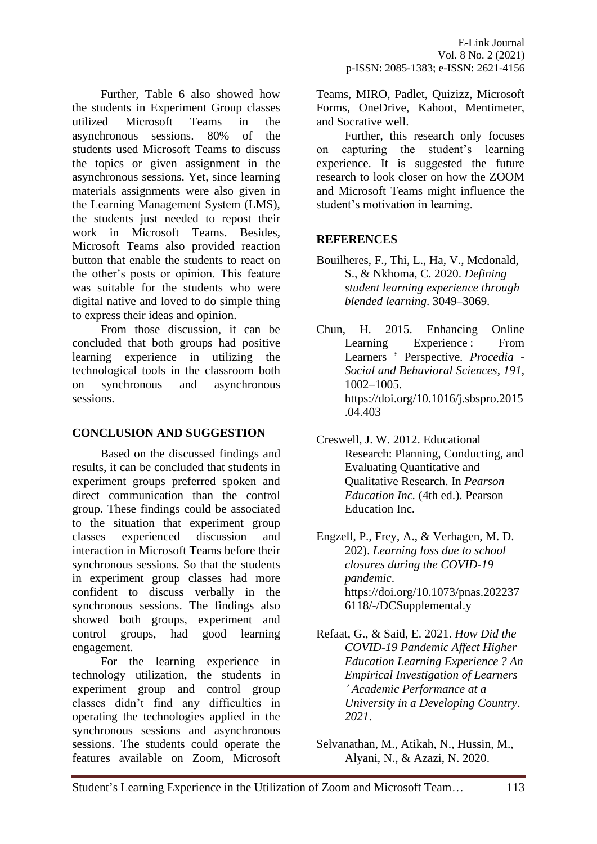Further, Table 6 also showed how the students in Experiment Group classes utilized Microsoft Teams in the asynchronous sessions. 80% of the students used Microsoft Teams to discuss the topics or given assignment in the asynchronous sessions. Yet, since learning materials assignments were also given in the Learning Management System (LMS), the students just needed to repost their work in Microsoft Teams. Besides, Microsoft Teams also provided reaction button that enable the students to react on the other's posts or opinion. This feature was suitable for the students who were digital native and loved to do simple thing to express their ideas and opinion.

From those discussion, it can be concluded that both groups had positive learning experience in utilizing the technological tools in the classroom both on synchronous and asynchronous sessions.

## **CONCLUSION AND SUGGESTION**

Based on the discussed findings and results, it can be concluded that students in experiment groups preferred spoken and direct communication than the control group. These findings could be associated to the situation that experiment group classes experienced discussion and interaction in Microsoft Teams before their synchronous sessions. So that the students in experiment group classes had more confident to discuss verbally in the synchronous sessions. The findings also showed both groups, experiment and control groups, had good learning engagement.

For the learning experience in technology utilization, the students in experiment group and control group classes didn't find any difficulties in operating the technologies applied in the synchronous sessions and asynchronous sessions. The students could operate the features available on Zoom, Microsoft

Teams, MIRO, Padlet, Quizizz, Microsoft Forms, OneDrive, Kahoot, Mentimeter, and Socrative well.

Further, this research only focuses on capturing the student's learning experience. It is suggested the future research to look closer on how the ZOOM and Microsoft Teams might influence the student's motivation in learning.

# **REFERENCES**

- Bouilheres, F., Thi, L., Ha, V., Mcdonald, S., & Nkhoma, C. 2020. *Defining student learning experience through blended learning*. 3049–3069.
- Chun, H. 2015. Enhancing Online Learning Experience : From Learners ' Perspective. *Procedia - Social and Behavioral Sciences*, *191*, 1002–1005. https://doi.org/10.1016/j.sbspro.2015 .04.403
- Creswell, J. W. 2012. Educational Research: Planning, Conducting, and Evaluating Quantitative and Qualitative Research. In *Pearson Education Inc.* (4th ed.). Pearson Education Inc.
- Engzell, P., Frey, A., & Verhagen, M. D. 202). *Learning loss due to school closures during the COVID-19 pandemic*. https://doi.org/10.1073/pnas.202237 6118/-/DCSupplemental.y
- Refaat, G., & Said, E. 2021. *How Did the COVID-19 Pandemic Affect Higher Education Learning Experience ? An Empirical Investigation of Learners ' Academic Performance at a University in a Developing Country*. *2021*.
- Selvanathan, M., Atikah, N., Hussin, M., Alyani, N., & Azazi, N. 2020.